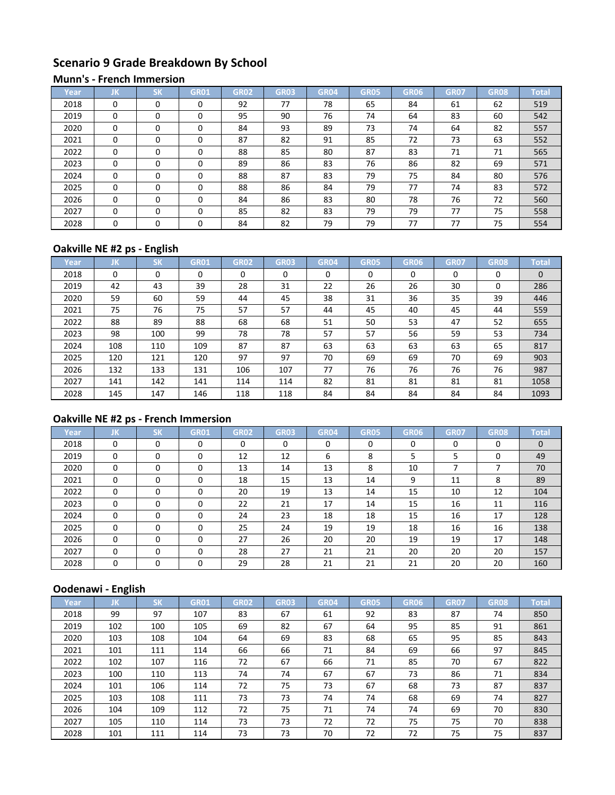# **Scenario 9 Grade Breakdown By School**

#### **Munn's - French Immersion**

| Year | JK       | <b>CM</b><br>אנ | GR01     | <b>GR02</b> | <b>GR03</b> | <b>GR04</b> | <b>GR05</b> | GR06 | <b>GR07</b> | <b>GR08</b> | <b>Total</b> |
|------|----------|-----------------|----------|-------------|-------------|-------------|-------------|------|-------------|-------------|--------------|
| 2018 | $\Omega$ | $\Omega$        | $\Omega$ | 92          | 77          | 78          | 65          | 84   | 61          | 62          | 519          |
| 2019 | $\Omega$ | $\Omega$        | 0        | 95          | 90          | 76          | 74          | 64   | 83          | 60          | 542          |
| 2020 | $\Omega$ | $\Omega$        | 0        | 84          | 93          | 89          | 73          | 74   | 64          | 82          | 557          |
| 2021 | $\Omega$ | $\Omega$        | 0        | 87          | 82          | 91          | 85          | 72   | 73          | 63          | 552          |
| 2022 | $\Omega$ | $\Omega$        | $\Omega$ | 88          | 85          | 80          | 87          | 83   | 71          | 71          | 565          |
| 2023 | $\Omega$ | $\Omega$        | 0        | 89          | 86          | 83          | 76          | 86   | 82          | 69          | 571          |
| 2024 | $\Omega$ | $\Omega$        | 0        | 88          | 87          | 83          | 79          | 75   | 84          | 80          | 576          |
| 2025 | $\Omega$ | $\Omega$        | 0        | 88          | 86          | 84          | 79          | 77   | 74          | 83          | 572          |
| 2026 | $\Omega$ | $\Omega$        | 0        | 84          | 86          | 83          | 80          | 78   | 76          | 72          | 560          |
| 2027 | $\Omega$ | $\Omega$        | 0        | 85          | 82          | 83          | 79          | 79   | 77          | 75          | 558          |
| 2028 | $\Omega$ | $\Omega$        | 0        | 84          | 82          | 79          | 79          | 77   | 77          | 75          | 554          |

## **Oakville NE #2 ps - English**

| Year | IJΚ. | <b>SK</b> | <b>GR01</b> | <b>GR02</b> | <b>GR03</b> | GR04 | <b>GR05</b> | GR06 | GR <sub>07</sub> | <b>GR08</b> | Total    |
|------|------|-----------|-------------|-------------|-------------|------|-------------|------|------------------|-------------|----------|
| 2018 | 0    | 0         | 0           | 0           | $\Omega$    | 0    | $\Omega$    | 0    | 0                | 0           | $\Omega$ |
| 2019 | 42   | 43        | 39          | 28          | 31          | 22   | 26          | 26   | 30               | 0           | 286      |
| 2020 | 59   | 60        | 59          | 44          | 45          | 38   | 31          | 36   | 35               | 39          | 446      |
| 2021 | 75   | 76        | 75          | 57          | 57          | 44   | 45          | 40   | 45               | 44          | 559      |
| 2022 | 88   | 89        | 88          | 68          | 68          | 51   | 50          | 53   | 47               | 52          | 655      |
| 2023 | 98   | 100       | 99          | 78          | 78          | 57   | 57          | 56   | 59               | 53          | 734      |
| 2024 | 108  | 110       | 109         | 87          | 87          | 63   | 63          | 63   | 63               | 65          | 817      |
| 2025 | 120  | 121       | 120         | 97          | 97          | 70   | 69          | 69   | 70               | 69          | 903      |
| 2026 | 132  | 133       | 131         | 106         | 107         | 77   | 76          | 76   | 76               | 76          | 987      |
| 2027 | 141  | 142       | 141         | 114         | 114         | 82   | 81          | 81   | 81               | 81          | 1058     |
| 2028 | 145  | 147       | 146         | 118         | 118         | 84   | 84          | 84   | 84               | 84          | 1093     |

# **Oakville NE #2 ps - French Immersion**

| Year | JK       | <b>SK</b> | <b>GR01</b> | <b>GR02</b> | <b>GR03</b> | <b>GR04</b> | <b>GR05</b> | GR06 | <b>GR07</b> | <b>GR08</b> | Total        |
|------|----------|-----------|-------------|-------------|-------------|-------------|-------------|------|-------------|-------------|--------------|
| 2018 | $\Omega$ | $\Omega$  | 0           | 0           | $\Omega$    | 0           | $\Omega$    | 0    | $\Omega$    | $\Omega$    | $\mathbf{0}$ |
| 2019 | 0        | 0         | 0           | 12          | 12          | 6           | 8           | 5    | 5           | 0           | 49           |
| 2020 | $\Omega$ | $\Omega$  | 0           | 13          | 14          | 13          | 8           | 10   |             |             | 70           |
| 2021 | $\Omega$ | $\Omega$  | 0           | 18          | 15          | 13          | 14          | 9    | 11          | 8           | 89           |
| 2022 | $\Omega$ | 0         | 0           | 20          | 19          | 13          | 14          | 15   | 10          | 12          | 104          |
| 2023 | $\Omega$ | $\Omega$  | $\Omega$    | 22          | 21          | 17          | 14          | 15   | 16          | 11          | 116          |
| 2024 | $\Omega$ | $\Omega$  | $\Omega$    | 24          | 23          | 18          | 18          | 15   | 16          | 17          | 128          |
| 2025 | $\Omega$ | 0         | $\Omega$    | 25          | 24          | 19          | 19          | 18   | 16          | 16          | 138          |
| 2026 | 0        | 0         | 0           | 27          | 26          | 20          | 20          | 19   | 19          | 17          | 148          |
| 2027 | $\Omega$ | $\Omega$  | 0           | 28          | 27          | 21          | 21          | 20   | 20          | 20          | 157          |
| 2028 | 0        | 0         | $\Omega$    | 29          | 28          | 21          | 21          | 21   | 20          | 20          | 160          |

# **Oodenawi - English**

| Year | IJΚ | <b>SK</b> | <b>GR01</b> | <b>GR02</b> | <b>GR03</b> | <b>GR04</b> | <b>GR05</b> | <b>GR06</b> | <b>GR07</b> | <b>GR08</b> | <b>Total</b> |
|------|-----|-----------|-------------|-------------|-------------|-------------|-------------|-------------|-------------|-------------|--------------|
| 2018 | 99  | 97        | 107         | 83          | 67          | 61          | 92          | 83          | 87          | 74          | 850          |
| 2019 | 102 | 100       | 105         | 69          | 82          | 67          | 64          | 95          | 85          | 91          | 861          |
| 2020 | 103 | 108       | 104         | 64          | 69          | 83          | 68          | 65          | 95          | 85          | 843          |
| 2021 | 101 | 111       | 114         | 66          | 66          | 71          | 84          | 69          | 66          | 97          | 845          |
| 2022 | 102 | 107       | 116         | 72          | 67          | 66          | 71          | 85          | 70          | 67          | 822          |
| 2023 | 100 | 110       | 113         | 74          | 74          | 67          | 67          | 73          | 86          | 71          | 834          |
| 2024 | 101 | 106       | 114         | 72          | 75          | 73          | 67          | 68          | 73          | 87          | 837          |
| 2025 | 103 | 108       | 111         | 73          | 73          | 74          | 74          | 68          | 69          | 74          | 827          |
| 2026 | 104 | 109       | 112         | 72          | 75          | 71          | 74          | 74          | 69          | 70          | 830          |
| 2027 | 105 | 110       | 114         | 73          | 73          | 72          | 72          | 75          | 75          | 70          | 838          |
| 2028 | 101 | 111       | 114         | 73          | 73          | 70          | 72          | 72          | 75          | 75          | 837          |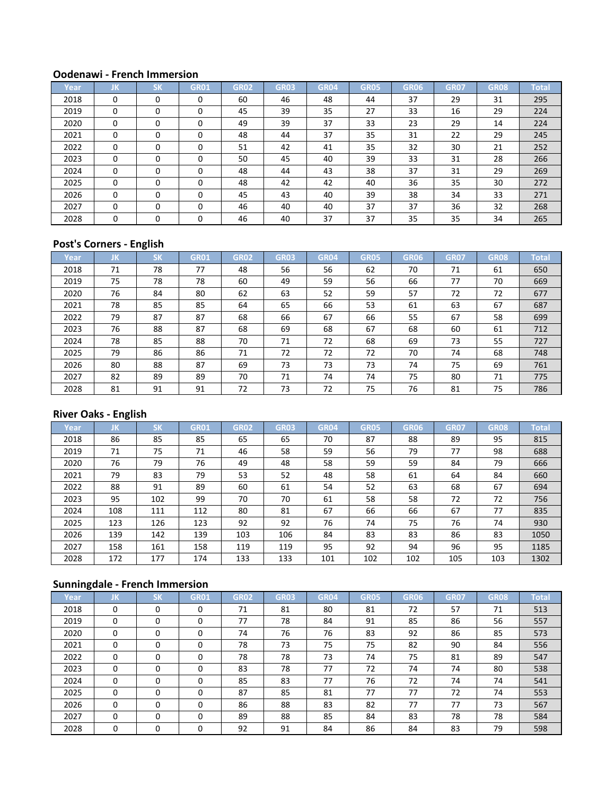#### **Oodenawi - French Immersion**

| Year | JK       | <b>SK</b> | <b>GR01</b> | <b>GR02</b> | <b>GR03</b> | <b>GR04</b> | <b>GR05</b> | GR06 | <b>GR07</b> | <b>GR08</b> | <b>Total</b> |
|------|----------|-----------|-------------|-------------|-------------|-------------|-------------|------|-------------|-------------|--------------|
| 2018 | 0        | $\Omega$  |             | 60          | 46          | 48          | 44          | 37   | 29          | 31          | 295          |
| 2019 | $\Omega$ | $\Omega$  |             | 45          | 39          | 35          | 27          | 33   | 16          | 29          | 224          |
| 2020 | $\Omega$ | $\Omega$  |             | 49          | 39          | 37          | 33          | 23   | 29          | 14          | 224          |
| 2021 | $\Omega$ | $\Omega$  |             | 48          | 44          | 37          | 35          | 31   | 22          | 29          | 245          |
| 2022 | 0        | $\Omega$  |             | 51          | 42          | 41          | 35          | 32   | 30          | 21          | 252          |
| 2023 | 0        | $\Omega$  | 0           | 50          | 45          | 40          | 39          | 33   | 31          | 28          | 266          |
| 2024 | $\Omega$ | $\Omega$  | 0           | 48          | 44          | 43          | 38          | 37   | 31          | 29          | 269          |
| 2025 | 0        | $\Omega$  | $\Omega$    | 48          | 42          | 42          | 40          | 36   | 35          | 30          | 272          |
| 2026 | $\Omega$ | $\Omega$  | 0           | 45          | 43          | 40          | 39          | 38   | 34          | 33          | 271          |
| 2027 | $\Omega$ | $\Omega$  | $\Omega$    | 46          | 40          | 40          | 37          | 37   | 36          | 32          | 268          |
| 2028 | $\Omega$ | $\Omega$  |             | 46          | 40          | 37          | 37          | 35   | 35          | 34          | 265          |

## **Post's Corners - English**

| Year | JK | <b>SK</b> | <b>GR01</b> | <b>GR02</b> | <b>GR03</b> | <b>GR04</b> | <b>GR05</b> | <b>GR06</b> | <b>GR07</b> | <b>GR08</b> | <b>Total</b> |
|------|----|-----------|-------------|-------------|-------------|-------------|-------------|-------------|-------------|-------------|--------------|
| 2018 | 71 | 78        | 77          | 48          | 56          | 56          | 62          | 70          | 71          | 61          | 650          |
| 2019 | 75 | 78        | 78          | 60          | 49          | 59          | 56          | 66          | 77          | 70          | 669          |
| 2020 | 76 | 84        | 80          | 62          | 63          | 52          | 59          | 57          | 72          | 72          | 677          |
| 2021 | 78 | 85        | 85          | 64          | 65          | 66          | 53          | 61          | 63          | 67          | 687          |
| 2022 | 79 | 87        | 87          | 68          | 66          | 67          | 66          | 55          | 67          | 58          | 699          |
| 2023 | 76 | 88        | 87          | 68          | 69          | 68          | 67          | 68          | 60          | 61          | 712          |
| 2024 | 78 | 85        | 88          | 70          | 71          | 72          | 68          | 69          | 73          | 55          | 727          |
| 2025 | 79 | 86        | 86          | 71          | 72          | 72          | 72          | 70          | 74          | 68          | 748          |
| 2026 | 80 | 88        | 87          | 69          | 73          | 73          | 73          | 74          | 75          | 69          | 761          |
| 2027 | 82 | 89        | 89          | 70          | 71          | 74          | 74          | 75          | 80          | 71          | 775          |
| 2028 | 81 | 91        | 91          | 72          | 73          | 72          | 75          | 76          | 81          | 75          | 786          |

## **River Oaks - English**

| Year | JΚ. | <b>SK</b> | <b>GR01</b> | <b>GR02</b> | <b>GR03</b> | <b>GR04</b> | <b>GR05</b> | GR06 | <b>GR07</b> | <b>GR08</b> | Total |
|------|-----|-----------|-------------|-------------|-------------|-------------|-------------|------|-------------|-------------|-------|
| 2018 | 86  | 85        | 85          | 65          | 65          | 70          | 87          | 88   | 89          | 95          | 815   |
| 2019 | 71  | 75        | 71          | 46          | 58          | 59          | 56          | 79   | 77          | 98          | 688   |
| 2020 | 76  | 79        | 76          | 49          | 48          | 58          | 59          | 59   | 84          | 79          | 666   |
| 2021 | 79  | 83        | 79          | 53          | 52          | 48          | 58          | 61   | 64          | 84          | 660   |
| 2022 | 88  | 91        | 89          | 60          | 61          | 54          | 52          | 63   | 68          | 67          | 694   |
| 2023 | 95  | 102       | 99          | 70          | 70          | 61          | 58          | 58   | 72          | 72          | 756   |
| 2024 | 108 | 111       | 112         | 80          | 81          | 67          | 66          | 66   | 67          | 77          | 835   |
| 2025 | 123 | 126       | 123         | 92          | 92          | 76          | 74          | 75   | 76          | 74          | 930   |
| 2026 | 139 | 142       | 139         | 103         | 106         | 84          | 83          | 83   | 86          | 83          | 1050  |
| 2027 | 158 | 161       | 158         | 119         | 119         | 95          | 92          | 94   | 96          | 95          | 1185  |
| 2028 | 172 | 177       | 174         | 133         | 133         | 101         | 102         | 102  | 105         | 103         | 1302  |

# **Sunningdale - French Immersion**

| Year | ΠK       | <b>SK</b> | <b>GR01</b> | <b>GR02</b> | <b>GR03</b> | <b>GR04</b> | <b>GR05</b> | GR06 | <b>GR07</b> | <b>GR08</b> | <b>Total</b> |
|------|----------|-----------|-------------|-------------|-------------|-------------|-------------|------|-------------|-------------|--------------|
| 2018 | $\Omega$ | 0         | $\Omega$    | 71          | 81          | 80          | 81          | 72   | 57          | 71          | 513          |
| 2019 | 0        | 0         | 0           | 77          | 78          | 84          | 91          | 85   | 86          | 56          | 557          |
| 2020 | $\Omega$ | 0         | 0           | 74          | 76          | 76          | 83          | 92   | 86          | 85          | 573          |
| 2021 | $\Omega$ | $\Omega$  | $\Omega$    | 78          | 73          | 75          | 75          | 82   | 90          | 84          | 556          |
| 2022 | 0        | 0         | 0           | 78          | 78          | 73          | 74          | 75   | 81          | 89          | 547          |
| 2023 | $\Omega$ | $\Omega$  | 0           | 83          | 78          | 77          | 72          | 74   | 74          | 80          | 538          |
| 2024 | $\Omega$ | $\Omega$  | 0           | 85          | 83          | 77          | 76          | 72   | 74          | 74          | 541          |
| 2025 | $\Omega$ | $\Omega$  | 0           | 87          | 85          | 81          | 77          | 77   | 72          | 74          | 553          |
| 2026 | $\Omega$ | $\Omega$  | 0           | 86          | 88          | 83          | 82          | 77   | 77          | 73          | 567          |
| 2027 | $\Omega$ | $\Omega$  | $\Omega$    | 89          | 88          | 85          | 84          | 83   | 78          | 78          | 584          |
| 2028 | 0        | 0         | 0           | 92          | 91          | 84          | 86          | 84   | 83          | 79          | 598          |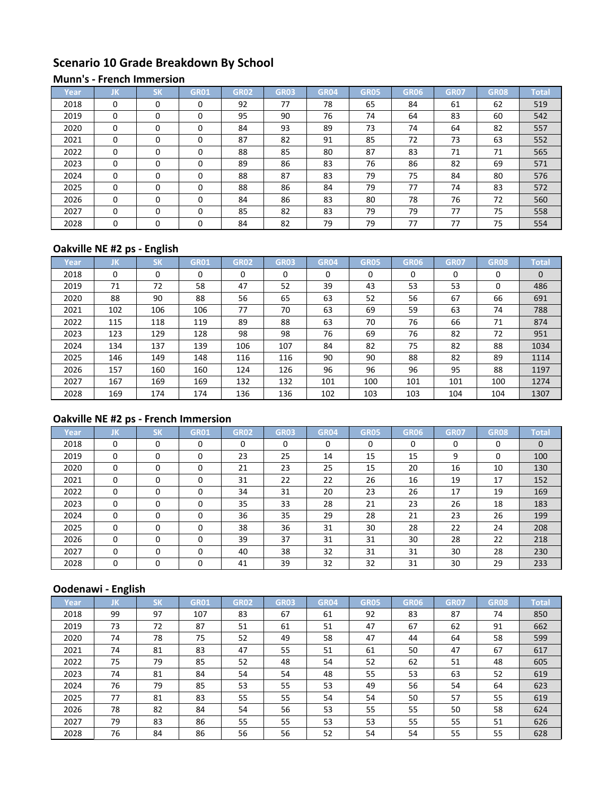# **Scenario 10 Grade Breakdown By School**

#### **Munn's - French Immersion**

| Year | JK       | <b>CM</b><br>אנ | GR01     | <b>GR02</b> | <b>GR03</b> | <b>GR04</b> | <b>GR05</b> | GR06 | <b>GR07</b> | <b>GR08</b> | <b>Total</b> |
|------|----------|-----------------|----------|-------------|-------------|-------------|-------------|------|-------------|-------------|--------------|
| 2018 | $\Omega$ | $\Omega$        | $\Omega$ | 92          | 77          | 78          | 65          | 84   | 61          | 62          | 519          |
| 2019 | $\Omega$ | $\Omega$        | 0        | 95          | 90          | 76          | 74          | 64   | 83          | 60          | 542          |
| 2020 | $\Omega$ | $\Omega$        | 0        | 84          | 93          | 89          | 73          | 74   | 64          | 82          | 557          |
| 2021 | $\Omega$ | $\Omega$        | 0        | 87          | 82          | 91          | 85          | 72   | 73          | 63          | 552          |
| 2022 | $\Omega$ | $\Omega$        | $\Omega$ | 88          | 85          | 80          | 87          | 83   | 71          | 71          | 565          |
| 2023 | $\Omega$ | $\Omega$        | 0        | 89          | 86          | 83          | 76          | 86   | 82          | 69          | 571          |
| 2024 | $\Omega$ | $\Omega$        | 0        | 88          | 87          | 83          | 79          | 75   | 84          | 80          | 576          |
| 2025 | $\Omega$ | $\Omega$        | 0        | 88          | 86          | 84          | 79          | 77   | 74          | 83          | 572          |
| 2026 | $\Omega$ | $\Omega$        | 0        | 84          | 86          | 83          | 80          | 78   | 76          | 72          | 560          |
| 2027 | $\Omega$ | $\Omega$        | 0        | 85          | 82          | 83          | 79          | 79   | 77          | 75          | 558          |
| 2028 | $\Omega$ | $\Omega$        | 0        | 84          | 82          | 79          | 79          | 77   | 77          | 75          | 554          |

## **Oakville NE #2 ps - English**

| Year | IJΚ      | <b>SK</b> | <b>GR01</b> | <b>GR02</b> | <b>GR03</b> | <b>GR04</b> | <b>GR05</b> | GR06 | <b>GR07</b> | <b>GR08</b> | <b>Total</b> |
|------|----------|-----------|-------------|-------------|-------------|-------------|-------------|------|-------------|-------------|--------------|
| 2018 | $\Omega$ | 0         |             | 0           | 0           | 0           | $\Omega$    | 0    | 0           | 0           | $\mathbf{0}$ |
| 2019 | 71       | 72        | 58          | 47          | 52          | 39          | 43          | 53   | 53          | 0           | 486          |
| 2020 | 88       | 90        | 88          | 56          | 65          | 63          | 52          | 56   | 67          | 66          | 691          |
| 2021 | 102      | 106       | 106         | 77          | 70          | 63          | 69          | 59   | 63          | 74          | 788          |
| 2022 | 115      | 118       | 119         | 89          | 88          | 63          | 70          | 76   | 66          | 71          | 874          |
| 2023 | 123      | 129       | 128         | 98          | 98          | 76          | 69          | 76   | 82          | 72          | 951          |
| 2024 | 134      | 137       | 139         | 106         | 107         | 84          | 82          | 75   | 82          | 88          | 1034         |
| 2025 | 146      | 149       | 148         | 116         | 116         | 90          | 90          | 88   | 82          | 89          | 1114         |
| 2026 | 157      | 160       | 160         | 124         | 126         | 96          | 96          | 96   | 95          | 88          | 1197         |
| 2027 | 167      | 169       | 169         | 132         | 132         | 101         | 100         | 101  | 101         | 100         | 1274         |
| 2028 | 169      | 174       | 174         | 136         | 136         | 102         | 103         | 103  | 104         | 104         | 1307         |

# **Oakville NE #2 ps - French Immersion**

| Year | JK       | <b>SK</b> | <b>GR01</b> | GR02 | <b>GR03</b> | <b>GR04</b> | <b>GR05</b> | GR06 | <b>GR07</b> | <b>GR08</b> | <b>Total</b> |
|------|----------|-----------|-------------|------|-------------|-------------|-------------|------|-------------|-------------|--------------|
| 2018 | 0        | $\Omega$  | $\Omega$    | 0    | $\Omega$    | $\Omega$    | $\Omega$    | 0    | $\Omega$    | $\Omega$    | $\mathbf{0}$ |
| 2019 | 0        | 0         | 0           | 23   | 25          | 14          | 15          | 15   | 9           | 0           | 100          |
| 2020 | 0        | $\Omega$  | $\Omega$    | 21   | 23          | 25          | 15          | 20   | 16          | 10          | 130          |
| 2021 | $\Omega$ | 0         | $\Omega$    | 31   | 22          | 22          | 26          | 16   | 19          | 17          | 152          |
| 2022 | 0        | 0         | O           | 34   | 31          | 20          | 23          | 26   | 17          | 19          | 169          |
| 2023 | $\Omega$ | $\Omega$  | 0           | 35   | 33          | 28          | 21          | 23   | 26          | 18          | 183          |
| 2024 | $\Omega$ | 0         | $\Omega$    | 36   | 35          | 29          | 28          | 21   | 23          | 26          | 199          |
| 2025 | $\Omega$ | $\Omega$  | $\Omega$    | 38   | 36          | 31          | 30          | 28   | 22          | 24          | 208          |
| 2026 | 0        | 0         | $\Omega$    | 39   | 37          | 31          | 31          | 30   | 28          | 22          | 218          |
| 2027 | $\Omega$ | $\Omega$  | 0           | 40   | 38          | 32          | 31          | 31   | 30          | 28          | 230          |
| 2028 | 0        | 0         | $\Omega$    | 41   | 39          | 32          | 32          | 31   | 30          | 29          | 233          |

# **Oodenawi - English**

| Year | IJΚ | <b>SK</b> | <b>GR01</b> | <b>GR02</b> | <b>GR03</b> | <b>GR04</b> | <b>GR05</b> | GR <sub>06</sub> | <b>GR07</b> | <b>GR08</b> | <b>Total</b> |
|------|-----|-----------|-------------|-------------|-------------|-------------|-------------|------------------|-------------|-------------|--------------|
| 2018 | 99  | 97        | 107         | 83          | 67          | 61          | 92          | 83               | 87          | 74          | 850          |
| 2019 | 73  | 72        | 87          | 51          | 61          | 51          | 47          | 67               | 62          | 91          | 662          |
| 2020 | 74  | 78        | 75          | 52          | 49          | 58          | 47          | 44               | 64          | 58          | 599          |
| 2021 | 74  | 81        | 83          | 47          | 55          | 51          | 61          | 50               | 47          | 67          | 617          |
| 2022 | 75  | 79        | 85          | 52          | 48          | 54          | 52          | 62               | 51          | 48          | 605          |
| 2023 | 74  | 81        | 84          | 54          | 54          | 48          | 55          | 53               | 63          | 52          | 619          |
| 2024 | 76  | 79        | 85          | 53          | 55          | 53          | 49          | 56               | 54          | 64          | 623          |
| 2025 | 77  | 81        | 83          | 55          | 55          | 54          | 54          | 50               | 57          | 55          | 619          |
| 2026 | 78  | 82        | 84          | 54          | 56          | 53          | 55          | 55               | 50          | 58          | 624          |
| 2027 | 79  | 83        | 86          | 55          | 55          | 53          | 53          | 55               | 55          | 51          | 626          |
| 2028 | 76  | 84        | 86          | 56          | 56          | 52          | 54          | 54               | 55          | 55          | 628          |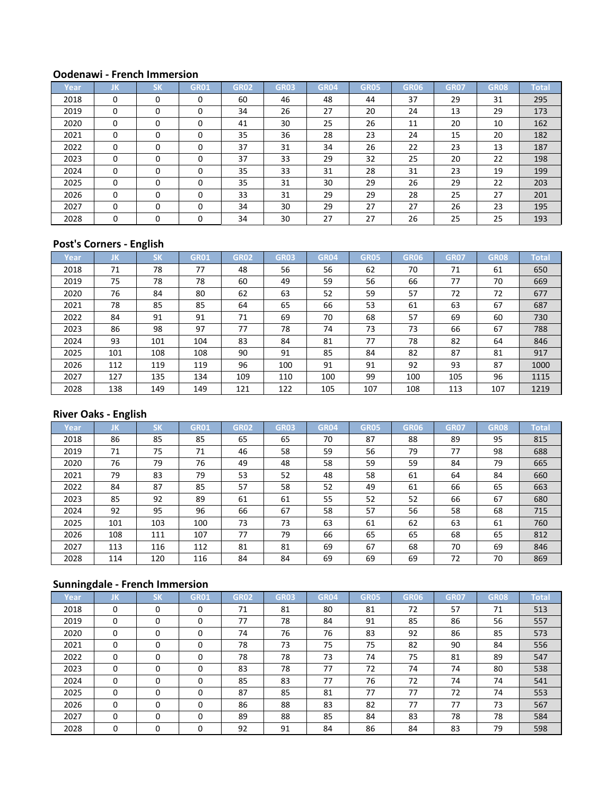#### **Oodenawi - French Immersion**

| Year | JK       | <b>CM</b><br>וכ | <b>GR01</b> | <b>GR02</b> | <b>GR03</b> | <b>GR04</b> | <b>GR05</b> | GR06 | <b>GR07</b> | <b>GR08</b> | <b>Total</b> |
|------|----------|-----------------|-------------|-------------|-------------|-------------|-------------|------|-------------|-------------|--------------|
| 2018 | 0        | $\Omega$        |             | 60          | 46          | 48          | 44          | 37   | 29          | 31          | 295          |
| 2019 | $\Omega$ | $\Omega$        |             | 34          | 26          | 27          | 20          | 24   | 13          | 29          | 173          |
| 2020 | $\Omega$ | $\Omega$        |             | 41          | 30          | 25          | 26          | 11   | 20          | 10          | 162          |
| 2021 | $\Omega$ | $\Omega$        |             | 35          | 36          | 28          | 23          | 24   | 15          | 20          | 182          |
| 2022 | $\Omega$ | $\Omega$        |             | 37          | 31          | 34          | 26          | 22   | 23          | 13          | 187          |
| 2023 | $\Omega$ | $\Omega$        | 0           | 37          | 33          | 29          | 32          | 25   | 20          | 22          | 198          |
| 2024 | $\Omega$ | $\Omega$        | 0           | 35          | 33          | 31          | 28          | 31   | 23          | 19          | 199          |
| 2025 | 0        | $\Omega$        | $\Omega$    | 35          | 31          | 30          | 29          | 26   | 29          | 22          | 203          |
| 2026 | 0        | $\Omega$        | 0           | 33          | 31          | 29          | 29          | 28   | 25          | 27          | 201          |
| 2027 | $\Omega$ | $\Omega$        | $\Omega$    | 34          | 30          | 29          | 27          | 27   | 26          | 23          | 195          |
| 2028 | $\Omega$ | $\Omega$        |             | 34          | 30          | 27          | 27          | 26   | 25          | 25          | 193          |

## **Post's Corners - English**

| Year | JK  | <b>SK</b> | <b>GR01</b> | <b>GR02</b> | <b>GR03</b> | GR04 | <b>GR05</b> | <b>GR06</b> | <b>GR07</b> | <b>GR08</b> | <b>Total</b> |
|------|-----|-----------|-------------|-------------|-------------|------|-------------|-------------|-------------|-------------|--------------|
| 2018 | 71  | 78        | 77          | 48          | 56          | 56   | 62          | 70          | 71          | 61          | 650          |
| 2019 | 75  | 78        | 78          | 60          | 49          | 59   | 56          | 66          | 77          | 70          | 669          |
| 2020 | 76  | 84        | 80          | 62          | 63          | 52   | 59          | 57          | 72          | 72          | 677          |
| 2021 | 78  | 85        | 85          | 64          | 65          | 66   | 53          | 61          | 63          | 67          | 687          |
| 2022 | 84  | 91        | 91          | 71          | 69          | 70   | 68          | 57          | 69          | 60          | 730          |
| 2023 | 86  | 98        | 97          | 77          | 78          | 74   | 73          | 73          | 66          | 67          | 788          |
| 2024 | 93  | 101       | 104         | 83          | 84          | 81   | 77          | 78          | 82          | 64          | 846          |
| 2025 | 101 | 108       | 108         | 90          | 91          | 85   | 84          | 82          | 87          | 81          | 917          |
| 2026 | 112 | 119       | 119         | 96          | 100         | 91   | 91          | 92          | 93          | 87          | 1000         |
| 2027 | 127 | 135       | 134         | 109         | 110         | 100  | 99          | 100         | 105         | 96          | 1115         |
| 2028 | 138 | 149       | 149         | 121         | 122         | 105  | 107         | 108         | 113         | 107         | 1219         |

## **River Oaks - English**

| Year | JΚ. | <b>SK</b> | <b>GR01</b> | <b>GR02</b> | <b>GR03</b> | <b>GR04</b> | <b>GR05</b> | GR <sub>06</sub> | <b>GR07</b> | <b>GR08</b> | Total |
|------|-----|-----------|-------------|-------------|-------------|-------------|-------------|------------------|-------------|-------------|-------|
| 2018 | 86  | 85        | 85          | 65          | 65          | 70          | 87          | 88               | 89          | 95          | 815   |
| 2019 | 71  | 75        | 71          | 46          | 58          | 59          | 56          | 79               | 77          | 98          | 688   |
| 2020 | 76  | 79        | 76          | 49          | 48          | 58          | 59          | 59               | 84          | 79          | 665   |
| 2021 | 79  | 83        | 79          | 53          | 52          | 48          | 58          | 61               | 64          | 84          | 660   |
| 2022 | 84  | 87        | 85          | 57          | 58          | 52          | 49          | 61               | 66          | 65          | 663   |
| 2023 | 85  | 92        | 89          | 61          | 61          | 55          | 52          | 52               | 66          | 67          | 680   |
| 2024 | 92  | 95        | 96          | 66          | 67          | 58          | 57          | 56               | 58          | 68          | 715   |
| 2025 | 101 | 103       | 100         | 73          | 73          | 63          | 61          | 62               | 63          | 61          | 760   |
| 2026 | 108 | 111       | 107         | 77          | 79          | 66          | 65          | 65               | 68          | 65          | 812   |
| 2027 | 113 | 116       | 112         | 81          | 81          | 69          | 67          | 68               | 70          | 69          | 846   |
| 2028 | 114 | 120       | 116         | 84          | 84          | 69          | 69          | 69               | 72          | 70          | 869   |

# **Sunningdale - French Immersion**

| Year, | IJΚ      | <b>SK</b> | <b>GR01</b> | <b>GR02</b> | <b>GR03</b> | <b>GR04</b> | <b>GR05</b> | <b>GR06</b> | <b>GR07</b> | <b>GR08</b> | <b>Total</b> |
|-------|----------|-----------|-------------|-------------|-------------|-------------|-------------|-------------|-------------|-------------|--------------|
| 2018  | $\Omega$ | 0         | 0           | 71          | 81          | 80          | 81          | 72          | 57          | 71          | 513          |
| 2019  | $\Omega$ | $\Omega$  | 0           | 77          | 78          | 84          | 91          | 85          | 86          | 56          | 557          |
| 2020  | $\Omega$ | $\Omega$  | $\Omega$    | 74          | 76          | 76          | 83          | 92          | 86          | 85          | 573          |
| 2021  | $\Omega$ | $\Omega$  | $\Omega$    | 78          | 73          | 75          | 75          | 82          | 90          | 84          | 556          |
| 2022  | $\Omega$ | $\Omega$  | 0           | 78          | 78          | 73          | 74          | 75          | 81          | 89          | 547          |
| 2023  | $\Omega$ | $\Omega$  | $\Omega$    | 83          | 78          | 77          | 72          | 74          | 74          | 80          | 538          |
| 2024  | $\Omega$ | $\Omega$  | 0           | 85          | 83          | 77          | 76          | 72          | 74          | 74          | 541          |
| 2025  | $\Omega$ | $\Omega$  | $\Omega$    | 87          | 85          | 81          | 77          | 77          | 72          | 74          | 553          |
| 2026  | $\Omega$ | $\Omega$  | $\Omega$    | 86          | 88          | 83          | 82          | 77          | 77          | 73          | 567          |
| 2027  | $\Omega$ | $\Omega$  | $\Omega$    | 89          | 88          | 85          | 84          | 83          | 78          | 78          | 584          |
| 2028  | 0        | 0         | 0           | 92          | 91          | 84          | 86          | 84          | 83          | 79          | 598          |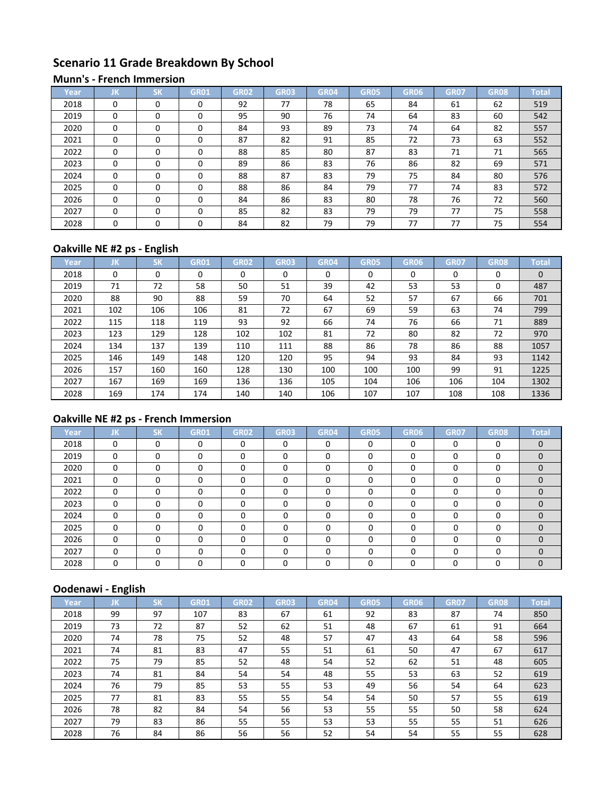# **Scenario 11 Grade Breakdown By School**

#### **Munn's - French Immersion**

| Year | JK       | <b>CM</b><br>אנ | GR01     | <b>GR02</b> | <b>GR03</b> | <b>GR04</b> | <b>GR05</b> | GR <sub>06</sub> | <b>GR07</b> | <b>GR08</b> | <b>Total</b> |
|------|----------|-----------------|----------|-------------|-------------|-------------|-------------|------------------|-------------|-------------|--------------|
| 2018 | $\Omega$ | $\Omega$        | $\Omega$ | 92          | 77          | 78          | 65          | 84               | 61          | 62          | 519          |
| 2019 | $\Omega$ | $\Omega$        | 0        | 95          | 90          | 76          | 74          | 64               | 83          | 60          | 542          |
| 2020 | $\Omega$ | $\Omega$        | 0        | 84          | 93          | 89          | 73          | 74               | 64          | 82          | 557          |
| 2021 | $\Omega$ | $\Omega$        | 0        | 87          | 82          | 91          | 85          | 72               | 73          | 63          | 552          |
| 2022 | $\Omega$ | $\Omega$        | $\Omega$ | 88          | 85          | 80          | 87          | 83               | 71          | 71          | 565          |
| 2023 | $\Omega$ | $\Omega$        | 0        | 89          | 86          | 83          | 76          | 86               | 82          | 69          | 571          |
| 2024 | $\Omega$ | $\Omega$        | 0        | 88          | 87          | 83          | 79          | 75               | 84          | 80          | 576          |
| 2025 | $\Omega$ | $\Omega$        | 0        | 88          | 86          | 84          | 79          | 77               | 74          | 83          | 572          |
| 2026 | $\Omega$ | $\Omega$        | 0        | 84          | 86          | 83          | 80          | 78               | 76          | 72          | 560          |
| 2027 | $\Omega$ | $\Omega$        | 0        | 85          | 82          | 83          | 79          | 79               | 77          | 75          | 558          |
| 2028 | $\Omega$ | $\Omega$        | 0        | 84          | 82          | 79          | 79          | 77               | 77          | 75          | 554          |

## **Oakville NE #2 ps - English**

| Year | IJΚ      | <b>SK</b> | <b>GR01</b> | <b>GR02</b> | <b>GR03</b> | <b>GR04</b> | <b>GR05</b> | GR06 | <b>GR07</b> | <b>GR08</b> | <b>Total</b> |
|------|----------|-----------|-------------|-------------|-------------|-------------|-------------|------|-------------|-------------|--------------|
| 2018 | $\Omega$ | 0         | $\Omega$    | 0           | 0           | 0           | $\Omega$    | 0    | 0           | 0           | $\Omega$     |
| 2019 | 71       | 72        | 58          | 50          | 51          | 39          | 42          | 53   | 53          | 0           | 487          |
| 2020 | 88       | 90        | 88          | 59          | 70          | 64          | 52          | 57   | 67          | 66          | 701          |
| 2021 | 102      | 106       | 106         | 81          | 72          | 67          | 69          | 59   | 63          | 74          | 799          |
| 2022 | 115      | 118       | 119         | 93          | 92          | 66          | 74          | 76   | 66          | 71          | 889          |
| 2023 | 123      | 129       | 128         | 102         | 102         | 81          | 72          | 80   | 82          | 72          | 970          |
| 2024 | 134      | 137       | 139         | 110         | 111         | 88          | 86          | 78   | 86          | 88          | 1057         |
| 2025 | 146      | 149       | 148         | 120         | 120         | 95          | 94          | 93   | 84          | 93          | 1142         |
| 2026 | 157      | 160       | 160         | 128         | 130         | 100         | 100         | 100  | 99          | 91          | 1225         |
| 2027 | 167      | 169       | 169         | 136         | 136         | 105         | 104         | 106  | 106         | 104         | 1302         |
| 2028 | 169      | 174       | 174         | 140         | 140         | 106         | 107         | 107  | 108         | 108         | 1336         |

# **Oakville NE #2 ps - French Immersion**

| Year | JK       | <b>SK</b> | <b>GR01</b> | <b>GR02</b> | <b>GR03</b> | <b>GR04</b> | <b>GR05</b> | GR06 | <b>GR07</b> | <b>GR08</b> | <b>Total</b> |
|------|----------|-----------|-------------|-------------|-------------|-------------|-------------|------|-------------|-------------|--------------|
| 2018 | 0        | 0         | $\Omega$    | 0           | $\Omega$    | $\Omega$    | $\Omega$    | 0    | $\Omega$    | $\Omega$    | $\Omega$     |
| 2019 | 0        | 0         | 0           | 0           | 0           | 0           | $\Omega$    |      | 0           | 0           | $\Omega$     |
| 2020 | 0        | 0         | $\Omega$    | 0           | 0           | $\Omega$    | $\Omega$    |      | 0           | 0           | $\Omega$     |
| 2021 | 0        | 0         | O           | 0           | O           | $\Omega$    | $\Omega$    |      | $\Omega$    | 0           | $\Omega$     |
| 2022 | $\Omega$ | 0         | ŋ           | O           | ŋ           | $\Omega$    | $\Omega$    |      | $\Omega$    | 0           |              |
| 2023 | $\Omega$ | $\Omega$  | O           | 0           | O           | $\Omega$    | $\Omega$    |      | $\Omega$    | 0           |              |
| 2024 | $\Omega$ | $\Omega$  | $\Omega$    | ŋ           | n           | $\Omega$    | $\Omega$    |      | $\Omega$    | $\Omega$    | $\Omega$     |
| 2025 | $\Omega$ | 0         | $\Omega$    | 0           | 0           | $\Omega$    | O           |      | 0           | 0           | $\Omega$     |
| 2026 | 0        | 0         |             | n           | ŋ           | $\Omega$    | $\Omega$    | ◠    | 0           | 0           | $\Omega$     |
| 2027 | $\Omega$ | 0         | 0           | n           | ŋ           | $\Omega$    | $\Omega$    |      | $\Omega$    | 0           | $\Omega$     |
| 2028 | 0        | 0         | O           |             |             | 0           | 0           |      | 0           | 0           | $\Omega$     |

# **Oodenawi - English**

|      | -   |           |             |             |             |             |             |      |             |             |              |
|------|-----|-----------|-------------|-------------|-------------|-------------|-------------|------|-------------|-------------|--------------|
| Year | IJΚ | <b>SK</b> | <b>GR01</b> | <b>GR02</b> | <b>GR03</b> | <b>GR04</b> | <b>GR05</b> | GR06 | <b>GR07</b> | <b>GR08</b> | <b>Total</b> |
| 2018 | 99  | 97        | 107         | 83          | 67          | 61          | 92          | 83   | 87          | 74          | 850          |
| 2019 | 73  | 72        | 87          | 52          | 62          | 51          | 48          | 67   | 61          | 91          | 664          |
| 2020 | 74  | 78        | 75          | 52          | 48          | 57          | 47          | 43   | 64          | 58          | 596          |
| 2021 | 74  | 81        | 83          | 47          | 55          | 51          | 61          | 50   | 47          | 67          | 617          |
| 2022 | 75  | 79        | 85          | 52          | 48          | 54          | 52          | 62   | 51          | 48          | 605          |
| 2023 | 74  | 81        | 84          | 54          | 54          | 48          | 55          | 53   | 63          | 52          | 619          |
| 2024 | 76  | 79        | 85          | 53          | 55          | 53          | 49          | 56   | 54          | 64          | 623          |
| 2025 | 77  | 81        | 83          | 55          | 55          | 54          | 54          | 50   | 57          | 55          | 619          |
| 2026 | 78  | 82        | 84          | 54          | 56          | 53          | 55          | 55   | 50          | 58          | 624          |
| 2027 | 79  | 83        | 86          | 55          | 55          | 53          | 53          | 55   | 55          | 51          | 626          |
| 2028 | 76  | 84        | 86          | 56          | 56          | 52          | 54          | 54   | 55          | 55          | 628          |